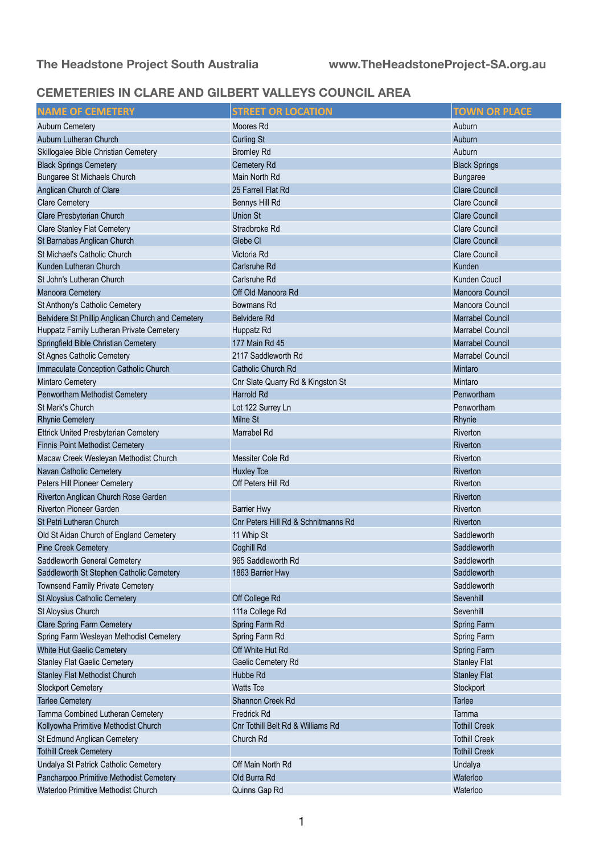## **CEMETERIES IN CLARE AND GILBERT VALLEYS COUNCIL AREA**

| <b>NAME OF CEMETERY</b>                           | <b>STREET OR LOCATION</b>           | <b>TOWN OR PLACE</b>    |
|---------------------------------------------------|-------------------------------------|-------------------------|
| <b>Auburn Cemetery</b>                            | Moores Rd                           | Auburn                  |
| Auburn Lutheran Church                            | <b>Curling St</b>                   | Auburn                  |
| Skillogalee Bible Christian Cemetery              | <b>Bromley Rd</b>                   | Auburn                  |
| <b>Black Springs Cemetery</b>                     | Cemetery Rd                         | <b>Black Springs</b>    |
| Bungaree St Michaels Church                       | Main North Rd                       | <b>Bungaree</b>         |
| Anglican Church of Clare                          | 25 Farrell Flat Rd                  | <b>Clare Council</b>    |
| <b>Clare Cemetery</b>                             | Bennys Hill Rd                      | <b>Clare Council</b>    |
| Clare Presbyterian Church                         | <b>Union St</b>                     | <b>Clare Council</b>    |
| <b>Clare Stanley Flat Cemetery</b>                | Stradbroke Rd                       | Clare Council           |
| St Barnabas Anglican Church                       | Glebe Cl                            | <b>Clare Council</b>    |
| St Michael's Catholic Church                      | Victoria Rd                         | <b>Clare Council</b>    |
| Kunden Lutheran Church                            | <b>Carlsruhe Rd</b>                 | Kunden                  |
| St John's Lutheran Church                         | Carlsruhe Rd                        | <b>Kunden Coucil</b>    |
| <b>Manoora Cemetery</b>                           | Off Old Manoora Rd                  | Manoora Council         |
| St Anthony's Catholic Cemetery                    | <b>Bowmans Rd</b>                   | Manoora Council         |
| Belvidere St Phillip Anglican Church and Cemetery | <b>Belvidere Rd</b>                 | <b>Marrabel Council</b> |
| Huppatz Family Lutheran Private Cemetery          | Huppatz Rd                          | <b>Marrabel Council</b> |
| Springfield Bible Christian Cemetery              | 177 Main Rd 45                      | <b>Marrabel Council</b> |
| St Agnes Catholic Cemetery                        | 2117 Saddleworth Rd                 | Marrabel Council        |
| Immaculate Conception Catholic Church             | Catholic Church Rd                  | Mintaro                 |
| <b>Mintaro Cemetery</b>                           | Cnr Slate Quarry Rd & Kingston St   | Mintaro                 |
| Penwortham Methodist Cemetery                     | Harrold Rd                          | Penwortham              |
| St Mark's Church                                  | Lot 122 Surrey Ln                   | Penwortham              |
| <b>Rhynie Cemetery</b>                            | <b>Milne St</b>                     | Rhynie                  |
| <b>Ettrick United Presbyterian Cemetery</b>       | Marrabel Rd                         | Riverton                |
| <b>Finnis Point Methodist Cemetery</b>            |                                     | Riverton                |
| Macaw Creek Wesleyan Methodist Church             | Messiter Cole Rd                    | Riverton                |
| Navan Catholic Cemetery                           | <b>Huxley Tce</b>                   | Riverton                |
| Peters Hill Pioneer Cemetery                      | Off Peters Hill Rd                  | Riverton                |
| Riverton Anglican Church Rose Garden              |                                     | Riverton                |
| <b>Riverton Pioneer Garden</b>                    | <b>Barrier Hwy</b>                  | Riverton                |
| St Petri Lutheran Church                          | Cnr Peters Hill Rd & Schnitmanns Rd | Riverton                |
| Old St Aidan Church of England Cemetery           | 11 Whip St                          | Saddleworth             |
| <b>Pine Creek Cemetery</b>                        | Coghill Rd                          | Saddleworth             |
| Saddleworth General Cemetery                      | 965 Saddleworth Rd                  | Saddleworth             |
| Saddleworth St Stephen Catholic Cemetery          | 1863 Barrier Hwy                    | Saddleworth             |
| <b>Townsend Family Private Cemetery</b>           |                                     | Saddleworth             |
| St Aloysius Catholic Cemetery                     | Off College Rd                      | Sevenhill               |
| St Aloysius Church                                | 111a College Rd                     | Sevenhill               |
| <b>Clare Spring Farm Cemetery</b>                 | Spring Farm Rd                      | Spring Farm             |
| Spring Farm Wesleyan Methodist Cemetery           | Spring Farm Rd                      | Spring Farm             |
| White Hut Gaelic Cemetery                         | Off White Hut Rd                    | Spring Farm             |
| <b>Stanley Flat Gaelic Cemetery</b>               | Gaelic Cemetery Rd                  | <b>Stanley Flat</b>     |
| <b>Stanley Flat Methodist Church</b>              | Hubbe Rd                            | <b>Stanley Flat</b>     |
| <b>Stockport Cemetery</b>                         | <b>Watts Tce</b>                    | Stockport               |
| <b>Tarlee Cemetery</b>                            | Shannon Creek Rd                    | <b>Tarlee</b>           |
| Tarnma Combined Lutheran Cemetery                 | <b>Fredrick Rd</b>                  | Tarnma                  |
| Kollyowha Primitive Methodist Church              | Cnr Tothill Belt Rd & Williams Rd   | <b>Tothill Creek</b>    |
| St Edmund Anglican Cemetery                       | Church Rd                           | <b>Tothill Creek</b>    |
| <b>Tothill Creek Cemetery</b>                     |                                     | <b>Tothill Creek</b>    |
| Undalya St Patrick Catholic Cemetery              | Off Main North Rd                   | Undalya                 |
| Pancharpoo Primitive Methodist Cemetery           | Old Burra Rd                        | Waterloo                |
| Waterloo Primitive Methodist Church               | Quinns Gap Rd                       | Waterloo                |